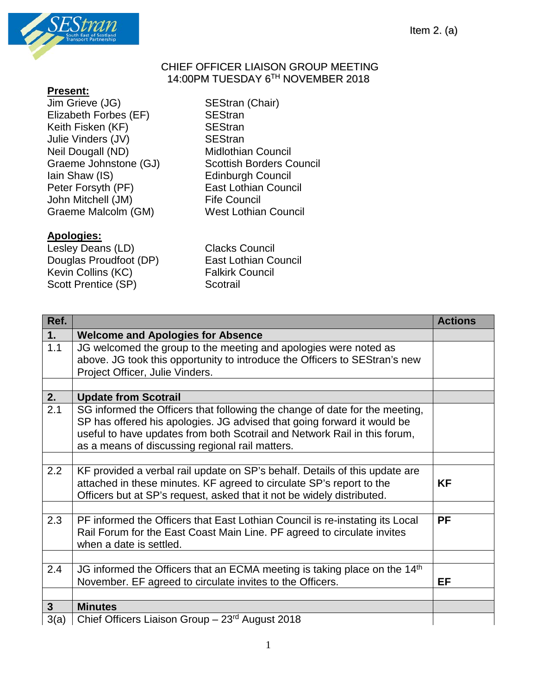

## CHIEF OFFICER LIAISON GROUP MEETING 14:00PM TUESDAY 6TH NOVEMBER 2018

## **Present:**

Jim Grieve (JG) SEStran (Chair) Elizabeth Forbes (EF) SEStran<br>Keith Fisken (KF) SEStran Keith Fisken (KF) Julie Vinders (JV) SEStran Neil Dougall (ND) Midlothian Council Peter Forsyth (PF) East Lothian Council John Mitchell (JM) Fife Council Graeme Malcolm (GM) West Lothian Council

## **Apologies:**

Lesley Deans (LD) Clacks Council Douglas Proudfoot (DP) East Lothian Council Kevin Collins (KC) Falkirk Council Scott Prentice (SP) Scotrail

Graeme Johnstone (GJ) Scottish Borders Council<br>
lain Shaw (IS) Edinburgh Council Edinburgh Council

| Ref.           |                                                                                                                                                                                                                                                                                        | <b>Actions</b> |
|----------------|----------------------------------------------------------------------------------------------------------------------------------------------------------------------------------------------------------------------------------------------------------------------------------------|----------------|
| 1.             | <b>Welcome and Apologies for Absence</b>                                                                                                                                                                                                                                               |                |
| 1.1            | JG welcomed the group to the meeting and apologies were noted as<br>above. JG took this opportunity to introduce the Officers to SEStran's new<br>Project Officer, Julie Vinders.                                                                                                      |                |
|                |                                                                                                                                                                                                                                                                                        |                |
| 2.             | <b>Update from Scotrail</b>                                                                                                                                                                                                                                                            |                |
| 2.1            | SG informed the Officers that following the change of date for the meeting,<br>SP has offered his apologies. JG advised that going forward it would be<br>useful to have updates from both Scotrail and Network Rail in this forum,<br>as a means of discussing regional rail matters. |                |
|                |                                                                                                                                                                                                                                                                                        |                |
| 2.2            | KF provided a verbal rail update on SP's behalf. Details of this update are<br>attached in these minutes. KF agreed to circulate SP's report to the<br>Officers but at SP's request, asked that it not be widely distributed.                                                          | <b>KF</b>      |
|                |                                                                                                                                                                                                                                                                                        |                |
| 2.3            | PF informed the Officers that East Lothian Council is re-instating its Local<br>Rail Forum for the East Coast Main Line. PF agreed to circulate invites<br>when a date is settled.                                                                                                     | <b>PF</b>      |
|                |                                                                                                                                                                                                                                                                                        |                |
| 2.4            | JG informed the Officers that an ECMA meeting is taking place on the 14 <sup>th</sup><br>November. EF agreed to circulate invites to the Officers.                                                                                                                                     | EF             |
|                |                                                                                                                                                                                                                                                                                        |                |
| 3 <sup>1</sup> | <b>Minutes</b>                                                                                                                                                                                                                                                                         |                |
| 3(a)           | Chief Officers Liaison Group - 23rd August 2018                                                                                                                                                                                                                                        |                |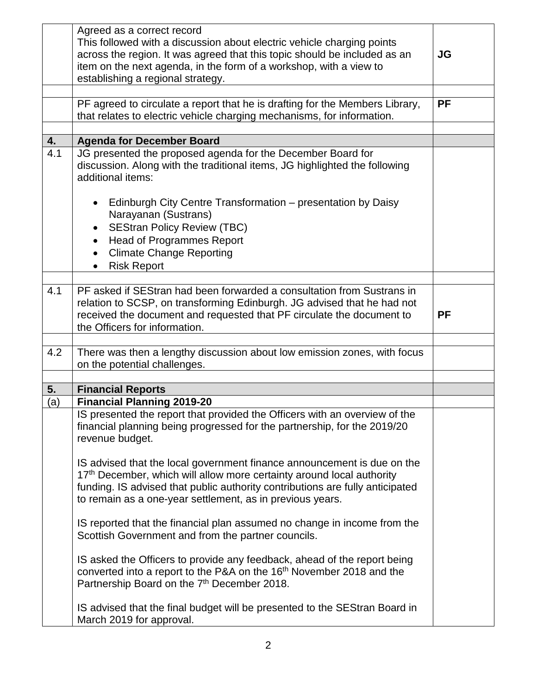|     | Agreed as a correct record                                                                    |           |
|-----|-----------------------------------------------------------------------------------------------|-----------|
|     | This followed with a discussion about electric vehicle charging points                        |           |
|     | across the region. It was agreed that this topic should be included as an                     | <b>JG</b> |
|     | item on the next agenda, in the form of a workshop, with a view to                            |           |
|     | establishing a regional strategy.                                                             |           |
|     | PF agreed to circulate a report that he is drafting for the Members Library,                  | <b>PF</b> |
|     | that relates to electric vehicle charging mechanisms, for information.                        |           |
|     |                                                                                               |           |
| 4.  | <b>Agenda for December Board</b>                                                              |           |
| 4.1 | JG presented the proposed agenda for the December Board for                                   |           |
|     | discussion. Along with the traditional items, JG highlighted the following                    |           |
|     | additional items:                                                                             |           |
|     |                                                                                               |           |
|     | Edinburgh City Centre Transformation – presentation by Daisy                                  |           |
|     | Narayanan (Sustrans)                                                                          |           |
|     | <b>SEStran Policy Review (TBC)</b>                                                            |           |
|     | <b>Head of Programmes Report</b><br>$\bullet$<br><b>Climate Change Reporting</b><br>$\bullet$ |           |
|     | <b>Risk Report</b>                                                                            |           |
|     |                                                                                               |           |
| 4.1 | PF asked if SEStran had been forwarded a consultation from Sustrans in                        |           |
|     | relation to SCSP, on transforming Edinburgh. JG advised that he had not                       |           |
|     | received the document and requested that PF circulate the document to                         | <b>PF</b> |
|     | the Officers for information.                                                                 |           |
|     |                                                                                               |           |
| 4.2 | There was then a lengthy discussion about low emission zones, with focus                      |           |
|     | on the potential challenges.                                                                  |           |
| 5.  | <b>Financial Reports</b>                                                                      |           |
| (a) | <b>Financial Planning 2019-20</b>                                                             |           |
|     | IS presented the report that provided the Officers with an overview of the                    |           |
|     | financial planning being progressed for the partnership, for the 2019/20                      |           |
|     | revenue budget.                                                                               |           |
|     |                                                                                               |           |
|     | IS advised that the local government finance announcement is due on the                       |           |
|     | 17 <sup>th</sup> December, which will allow more certainty around local authority             |           |
|     | funding. IS advised that public authority contributions are fully anticipated                 |           |
|     | to remain as a one-year settlement, as in previous years.                                     |           |
|     | IS reported that the financial plan assumed no change in income from the                      |           |
|     | Scottish Government and from the partner councils.                                            |           |
|     |                                                                                               |           |
|     | IS asked the Officers to provide any feedback, ahead of the report being                      |           |
|     | converted into a report to the P&A on the 16 <sup>th</sup> November 2018 and the              |           |
|     | Partnership Board on the 7 <sup>th</sup> December 2018.                                       |           |
|     |                                                                                               |           |
|     | IS advised that the final budget will be presented to the SEStran Board in                    |           |
|     | March 2019 for approval.                                                                      |           |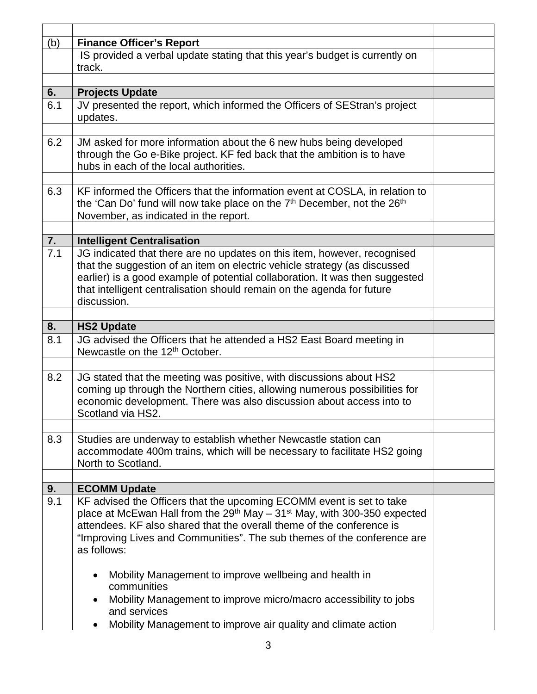| (b)              | <b>Finance Officer's Report</b>                                                                                                                                                 |  |
|------------------|---------------------------------------------------------------------------------------------------------------------------------------------------------------------------------|--|
|                  | IS provided a verbal update stating that this year's budget is currently on                                                                                                     |  |
|                  | track.                                                                                                                                                                          |  |
|                  |                                                                                                                                                                                 |  |
| 6.               | <b>Projects Update</b>                                                                                                                                                          |  |
| 6.1              | JV presented the report, which informed the Officers of SEStran's project                                                                                                       |  |
|                  | updates.                                                                                                                                                                        |  |
|                  |                                                                                                                                                                                 |  |
| 6.2              | JM asked for more information about the 6 new hubs being developed                                                                                                              |  |
|                  | through the Go e-Bike project. KF fed back that the ambition is to have                                                                                                         |  |
|                  | hubs in each of the local authorities.                                                                                                                                          |  |
|                  |                                                                                                                                                                                 |  |
| 6.3              | KF informed the Officers that the information event at COSLA, in relation to<br>the 'Can Do' fund will now take place on the 7 <sup>th</sup> December, not the 26 <sup>th</sup> |  |
|                  | November, as indicated in the report.                                                                                                                                           |  |
|                  |                                                                                                                                                                                 |  |
| 7.               | <b>Intelligent Centralisation</b>                                                                                                                                               |  |
| $\overline{7}.1$ | JG indicated that there are no updates on this item, however, recognised                                                                                                        |  |
|                  | that the suggestion of an item on electric vehicle strategy (as discussed                                                                                                       |  |
|                  | earlier) is a good example of potential collaboration. It was then suggested                                                                                                    |  |
|                  | that intelligent centralisation should remain on the agenda for future                                                                                                          |  |
|                  | discussion.                                                                                                                                                                     |  |
|                  |                                                                                                                                                                                 |  |
| 8.               | <b>HS2 Update</b>                                                                                                                                                               |  |
| 8.1              | JG advised the Officers that he attended a HS2 East Board meeting in<br>Newcastle on the 12 <sup>th</sup> October.                                                              |  |
|                  |                                                                                                                                                                                 |  |
| 8.2              | JG stated that the meeting was positive, with discussions about HS2                                                                                                             |  |
|                  | coming up through the Northern cities, allowing numerous possibilities for                                                                                                      |  |
|                  | economic development. There was also discussion about access into to                                                                                                            |  |
|                  | Scotland via HS2.                                                                                                                                                               |  |
| 8.3              | Studies are underway to establish whether Newcastle station can                                                                                                                 |  |
|                  | accommodate 400m trains, which will be necessary to facilitate HS2 going                                                                                                        |  |
|                  | North to Scotland.                                                                                                                                                              |  |
|                  |                                                                                                                                                                                 |  |
| 9.               | <b>ECOMM Update</b>                                                                                                                                                             |  |
| 9.1              | KF advised the Officers that the upcoming ECOMM event is set to take                                                                                                            |  |
|                  | place at McEwan Hall from the $29th$ May – 31 <sup>st</sup> May, with 300-350 expected                                                                                          |  |
|                  | attendees. KF also shared that the overall theme of the conference is                                                                                                           |  |
|                  | "Improving Lives and Communities". The sub themes of the conference are                                                                                                         |  |
|                  | as follows:                                                                                                                                                                     |  |
|                  |                                                                                                                                                                                 |  |
|                  | Mobility Management to improve wellbeing and health in                                                                                                                          |  |
|                  | communities                                                                                                                                                                     |  |
|                  | Mobility Management to improve micro/macro accessibility to jobs<br>and services                                                                                                |  |
|                  |                                                                                                                                                                                 |  |
|                  | Mobility Management to improve air quality and climate action                                                                                                                   |  |